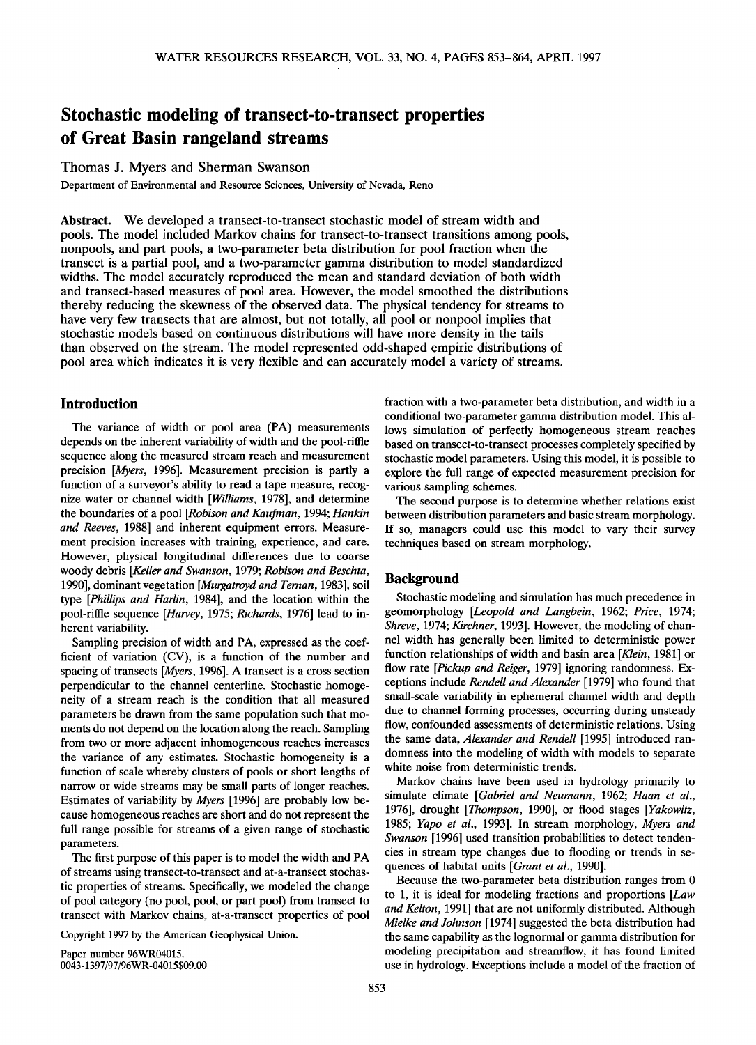# **Stochastic modeling of transect-to-transect properties of Great Basin rangeland streams**

## **Thomas J. Myers and Sherman Swanson**

**Department of Environmental and Resource Sciences, University of Nevada, Reno** 

**Abstract. We developed a transect-to-transect stochastic model of stream width and pools. The model included Markov chains for transect-to-transect transitions among pools, nonpools, and part pools, a two-parameter beta distribution for pool fraction when the transect is a partial pool, and a two-parameter gamma distribution to model standardized widths. The model accurately reproduced the mean and standard deviation of both width and transect-based measures of pool area. However, the model smoothed the distributions thereby reducing the skewness of the observed data. The physical tendency for streams to have very few transects that are almost, but not totally, all pool or nonpool implies that stochastic models based on continuous distributions will have more density in the tails than observed on the stream. The model represented odd-shaped empiric distributions of pool area which indicates it is very flexible and can accurately model a variety of streams.** 

## **Introduction**

**The variance of width or pool area (PA) measurements depends on the inherent variability of width and the pool-riffle sequence along the measured stream reach and measurement precision [Myers, 1996]. Measurement precision is partly a function of a surveyor's ability to read a tape measure, recognize water or channel width [Williams, 1978], and determine the boundaries of a pool [Robison and Kaufman, 1994; Hankin and Reeves, 1988] and inherent equipment errors. Measurement precision increases with training, experience, and care. However, physical longitudinal differences due to coarse woody debris [Keller and Swanson, 1979; Robison and Beschta, 1990], dominant vegetation [Murgatroyd and Ternan, 1983], soil type [Phillips and Harlin, 1984], and the location within the pool-riffle sequence [Harvey, 1975; Richards, 1976] lead to inherent variability.** 

**Sampling precision of width and PA, expressed as the coefficient of variation (CV), is a function of the number and spacing of transects [Myers, 1996]. A transect is a cross section perpendicular to the channel centerline. Stochastic homogeneity of a stream reach is the condition that all measured parameters be drawn from the same population such that moments do not depend on the location along the reach. Sampling from two or more adjacent inhomogeneous reaches increases the variance of any estimates. Stochastic homogeneity is a function of scale whereby clusters of pools or short lengths of narrow or wide streams may be small parts of longer reaches. Estimates of variability by Myers [1996] are probably low be**cause homogeneous reaches are short and do not represent the **full range possible for streams of a given range of stochastic parameters.** 

**The first purpose of this paper is to model the width and PA of streams using transect-to-transect and at-a-transect stochastic properties of streams. Specifically, we modeled the change of pool category (no pool, pool, or part pool) from transect to transect with Markov chains, at-a-transect properties of pool** 

**Copyright 1997 by the American Geophysical Union.** 

**Paper number 96WR04015. 0043-1397/97/96WR-04015 \$09.00**  **fraction with a two-parameter beta distribution, and width in a conditional two-parameter gamma distribution model. This allows simulation of perfectly homogeneous stream reaches based on transect-to-transect processes completely specified by stochastic model parameters. Using this model, it is possible to explore the full range of expected measurement precision for various sampling schemes.** 

**The second purpose is to determine whether relations exist between distribution parameters and basic stream morphology. If so, managers could use this model to vary their survey techniques based on stream morphology.** 

## **Background**

**Stochastic modeling and simulation has much precedence in geomorphology [Leopold and Langbein, 1962; Price, 1974; Shreve, 1974; Kirchner, 1993]. However, the modeling of channel width has generally been limited to deterministic power function relationships of width and basin area [Klein, 1981] or flow rate [Pickup and Reiger, 1979] ignoring randomness. Exceptions include Rendell and Alexander [1979] who found that small-scale variability in ephemeral channel width and depth due to channel forming processes, occurring during unsteady flow, confounded assessments of deterministic relations. Using the same data, Alexander and Rendell [1995] introduced randomness into the modeling of width with models to separate white noise from deterministic trends.** 

**Markov chains have been used in hydrology primarily to simulate climate [Gabriel and Neumann, 1962; Haan et al., 1976], drought [Thompson, 1990], or flood stages [Yakowitz, 1985; Yapo et al., 1993]. In stream morphology, Myers and Swanson [1996] used transition probabilities to detect tendencies in stream type changes due to flooding or trends in sequences of habitat units [Grant et al., 1990].** 

**Because the two-parameter beta distribution ranges from 0 to 1, it is ideal for modeling fractions and proportions [Law and Kelton, 1991] that are not uniformly distributed. Although Mielke and Johnson [1974] suggested the beta distribution had the same capability as the lognormal or gamma distribution for modeling precipitation and streamflow, it has found limited use in hydrology. Exceptions include a model of the fraction of**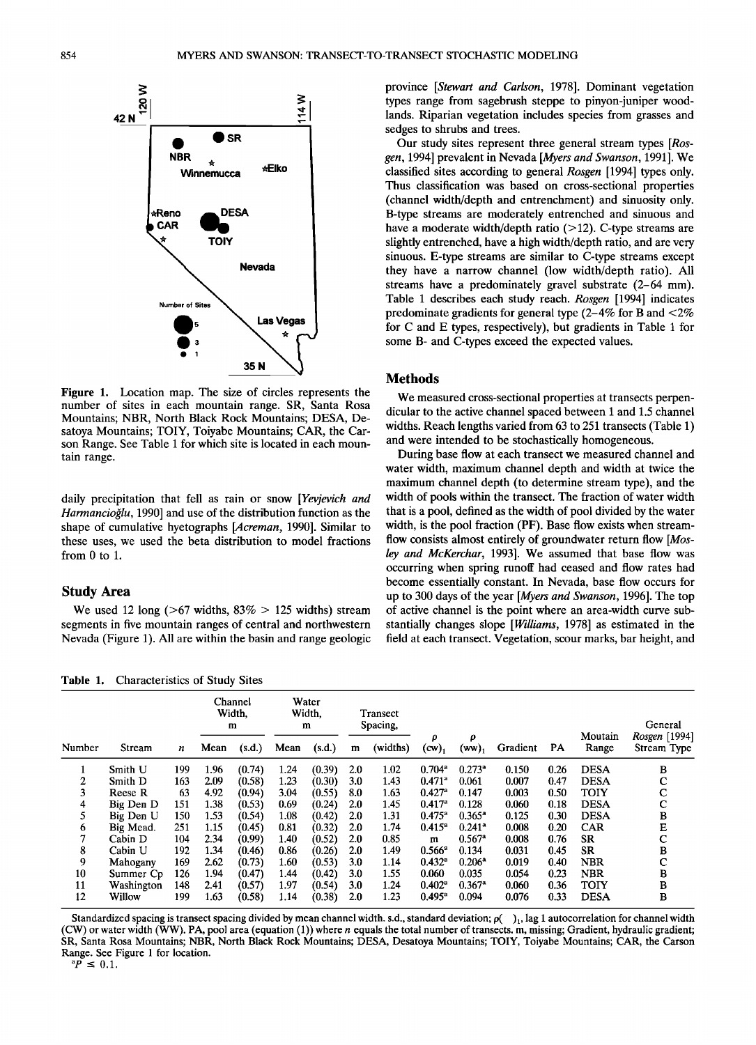

**Figure 1. Location map. The size of circles represents the number of sites in each mountain range. SR, Santa Rosa Mountains; NBR, North Black Rock Mountains; DESA, Desatoya Mountains; TOIY, Toiyabe Mountains; CAR, the Carson Range. See Table 1 for which site is located in each mountain range.** 

**daily precipitation that fell as rain or snow [Yevjevich and**  Harmancioğlu, 1990] and use of the distribution function as the **shape of cumulative hyetographs [Acreman, 1990]. Similar to these uses, we used the beta distribution to model fractions from 0 to 1.** 

## **Study Area**

**We used 12 long (>67 widths, 83% > 125 widths) stream segments in five mountain ranges of central and northwestern Nevada (Figure 1). All are within the basin and range geologic** 

**Table 1. Characteristics of Study Sites** 

**province [Stewart and Carlson, 1978]. Dominant vegetation types range from sagebrush steppe to pinyon-juniper woodlands. Riparian vegetation includes species from grasses and sedges to shrubs and trees.** 

**Our study sites represent three general stream types [Ros**gen, 1994] prevalent in Nevada [Myers and Swanson, 1991]. We **classified sites according to general Rosgen [1994] types only. Thus classification was based on cross-sectional properties (channel width/depth and entrenchment) and sinuosity only. B-type streams are moderately entrenched and sinuous and**  have a moderate width/depth ratio (>12). C-type streams are **slightly entrenched, have a high width/depth ratio, and are very sinuous. E-type streams are similar to C-type streams except they have a narrow channel (low width/depth ratio). All streams have a predominately gravel substrate (2-64 mm). Table 1 describes each study reach. Rosgen [1994] indicates predominate gradients for general type (2-4% for B and <2% for C and E types, respectively), but gradients in Table 1 for some B- and C-types exceed the expected values.** 

## **Methods**

**We measured cross-sectional properties at transects perpendicular to the active channel spaced between 1 and 1.5 channel widths. Reach lengths varied from 63 to 251 transects (Table 1) and were intended to be stochastically homogeneous.** 

**During base flow at each transect we measured channel and water width, maximum channel depth and width at twice the maximum channel depth (to determine stream type), and the width of pools within the transect. The fraction of water width that is a pool, defined as the width of pool divided by the water width, is the pool fraction (PF). Base flow exists when stream**flow consists almost entirely of groundwater return flow [Mos**ley and McKerchar, 1993]. We assumed that base flow was occurring when spring runoff had ceased and flow rates had become essentially constant. In Nevada, base flow occurs for up to 300 days of the year [Myers and Swanson, 1996]. The top of active channel is the point where an area-width curve substantially changes slope [Williams, 1978] as estimated in the field at each transect. Vegetation, scour marks, bar height, and** 

|        |            |     | Channel<br>Width,<br>m |        | Water<br>Width.<br>m |        | Transect<br>Spacing, |          |                      |                      |          |      |                  | General                      |
|--------|------------|-----|------------------------|--------|----------------------|--------|----------------------|----------|----------------------|----------------------|----------|------|------------------|------------------------------|
| Number | Stream     | n   | Mean                   | (s.d.) | Mean                 | (s.d.) | m                    | (widths) | ρ<br>$(cw)_1$        | ρ<br>(ww)            | Gradient | PА   | Moutain<br>Range | Rosgen [1994]<br>Stream Type |
| л      | Smith U    | 199 | 1.96                   | (0.74) | 1.24                 | (0.39) | 2.0                  | 1.02     | $0.704$ <sup>a</sup> | $0.273$ <sup>a</sup> | 0.150    | 0.26 | <b>DESA</b>      | в                            |
| 2      | Smith D    | 163 | 2.09                   | (0.58) | 1.23                 | (0.30) | 3.0                  | 1.43     | $0.471$ <sup>a</sup> | 0.061                | 0.007    | 0.47 | <b>DESA</b>      | C                            |
| 3      | Reese R    | 63  | 4.92                   | (0.94) | 3.04                 | (0.55) | 8.0                  | 1.63     | $0.427$ <sup>a</sup> | 0.147                | 0.003    | 0.50 | <b>TOIY</b>      | $\mathbf C$                  |
| 4      | Big Den D  | 151 | 1.38                   | (0.53) | 0.69                 | (0.24) | 2.0                  | 1.45     | 0.417 <sup>a</sup>   | 0.128                | 0.060    | 0.18 | <b>DESA</b>      | с                            |
| 5      | Big Den U  | 150 | 1.53                   | (0.54) | 1.08                 | (0.42) | 2.0                  | 1.31     | $0.475^{\circ}$      | $0.365^{\circ}$      | 0.125    | 0.30 | <b>DESA</b>      | B                            |
| 6      | Big Mead.  | 251 | 1.15                   | (0.45) | 0.81                 | (0.32) | 2.0                  | 1.74     | $0.415^a$            | $0.241$ <sup>a</sup> | 0.008    | 0.20 | <b>CAR</b>       | E                            |
| 7      | Cabin D    | 104 | 2.34                   | (0.99) | 1.40                 | (0.52) | 2.0                  | 0.85     | m                    | $0.567$ <sup>a</sup> | 0.008    | 0.76 | <b>SR</b>        | $\mathbf C$                  |
| 8      | Cabin U    | 192 | 1.34                   | (0.46) | 0.86                 | (0.26) | 2.0                  | 1.49     | $0.566^a$            | 0.134                | 0.031    | 0.45 | <b>SR</b>        | B                            |
| 9      | Mahogany   | 169 | 2.62                   | (0.73) | 1.60                 | (0.53) | 3.0                  | 1.14     | $0.432^{\circ}$      | $0.206^{\rm a}$      | 0.019    | 0.40 | <b>NBR</b>       | C                            |
| 10     | Summer Cp  | 126 | 1.94                   | (0.47) | 1.44                 | (0.42) | 3.0                  | 1.55     | 0.060                | 0.035                | 0.054    | 0.23 | <b>NBR</b>       | B                            |
| 11     | Washington | 148 | 2.41                   | (0.57) | 1.97                 | (0.54) | 3.0                  | 1.24     | $0.402^{\rm a}$      | $0.367$ <sup>a</sup> | 0.060    | 0.36 | <b>TOIY</b>      | В                            |
| 12     | Willow     | 199 | 1.63                   | (0.58) | 1.14                 | (0.38) | 2.0                  | 1.23     | $0.495^{\circ}$      | 0.094                | 0.076    | 0.33 | <b>DESA</b>      | B                            |

Standardized spacing is transect spacing divided by mean channel width. s.d., standard deviation;  $\rho(-)$ <sub>1</sub>, lag 1 autocorrelation for channel width **(CW) or water width (WW). PA, pool area (equation (1)) where n equals the total number of transects. m, missing; Gradient, hydraulic gradient; SR, Santa Rosa Mountains; NBR, North Black Rock Mountains; DESA, Desatoya Mountains; TOIY, Toiyabe Mountains; CAR, the Carson Range. See Figure 1 for location.**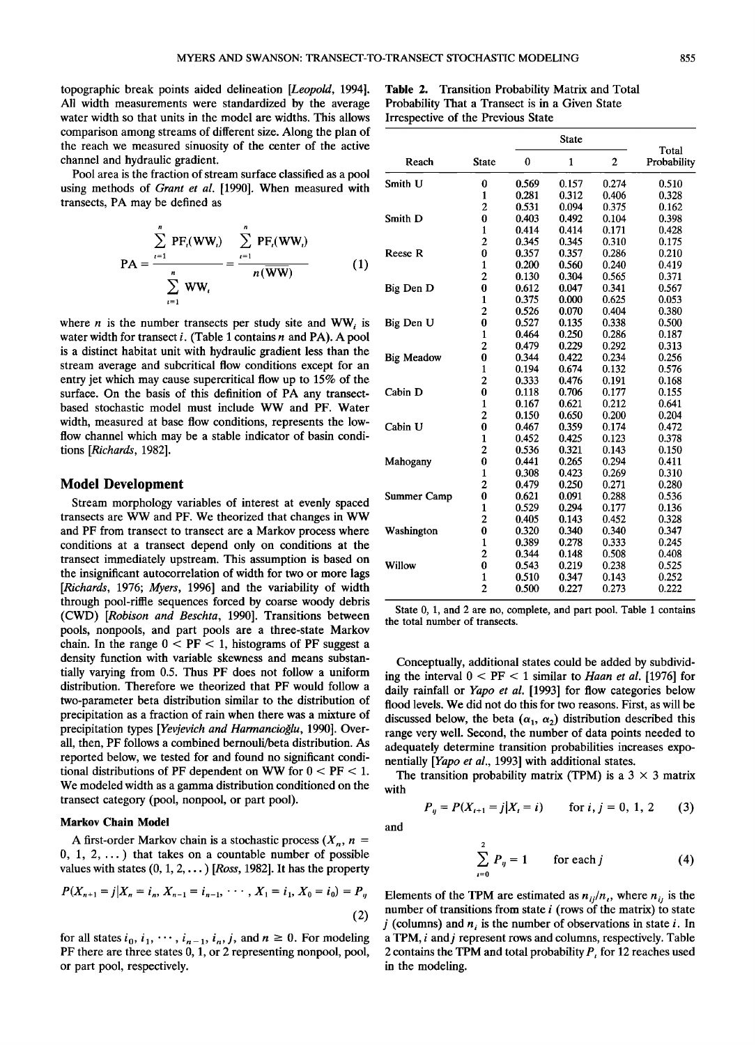**topographic break points aided delineation [Leopold, 1994]. All width measurements were standardized by the average water width so that units in the model are widths. This allows comparison among streams of different size. Along the plan of the reach we measured sinuosity of the center of the active channel and hydraulic gradient.** 

**Pool area is the fraction of stream surface classified as a pool using methods of Grant et al. [1990]. When measured with transects, PA may be defined as** 

$$
PA = \frac{\sum_{i=1}^{n} PF_{i}(WW_{i})}{\sum_{i=1}^{n} WW_{i}} = \frac{\sum_{i=1}^{n} PF_{i}(WW_{i})}{n(\overline{WW})}
$$
(1)

where *n* is the number transects per study site and  $WW_i$  is **water width for transect i. (Table 1 contains n and PA). A pool is a distinct habitat unit with hydraulic gradient less than the stream average and subcritical flow conditions except for an entry jet which may cause supercritical flow up to 15% of the surface. On the basis of this definition of PA any transectbased stochastic model must include WW and PF. Water width, measured at base flow conditions, represents the lowflow channel which may be a stable indicator of basin conditions [Richards, 1982].** 

## **Model Development**

**Stream morphology variables of interest at evenly spaced transects are WW and PF. We theorized that changes in WW and PF from transect to transect are a Markov process where conditions at a transect depend only on conditions at the transect immediately upstream. This assumption is based on the insignificant autocorrelation of width for two or more lags [Richards, 1976; Myers, 1996] and the variability of width through pool-riffle sequences forced by coarse woody debris (CWD) [Robison and Beschta, 1990]. Transitions between pools, nonpools, and part pools are a three-state Markov**  chain. In the range  $0 < PF < 1$ , histograms of PF suggest a **density function with variable skewness and means substantially varying from 0.5. Thus PF does not follow a uniform distribution. Therefore we theorized that PF would follow a two-parameter beta distribution similar to the distribution of precipitation as a fraction of rain when there was a mixture of**  precipitation types [Yevjevich and Harmancioğlu, 1990]. Over**all, then, PF follows a combined bernouli/beta distribution. As reported below, we tested for and found no significant conditional distributions of PF dependent on WW for 0 < PF < 1. We modeled width as a gamma distribution conditioned on the transect category (pool, nonpool, or part pool).** 

## **Markov Chain Model**

A first-order Markov chain is a stochastic process  $(X_n, n =$ **0, 1, 2,... ) that takes on a countable number of possible values with states (0, 1, 2,... ) [Ross, 1982]. It has the property** 

$$
P(X_{n+1}=j|X_n=i_n, X_{n-1}=i_{n-1}, \cdots, X_1=i_1, X_0=i_0)=P_y
$$
\n(2)

for all states  $i_0$ ,  $i_1$ ,  $\cdots$ ,  $i_{n-1}$ ,  $i_n$ ,  $j$ , and  $n \ge 0$ . For modeling **PF there are three states 0, 1, or 2 representing nonpool, pool, or part pool, respectively.** 

**Table 2. Transition Probability Matrix and Total Probability That a Transect is in a Given State Irrespective of the Previous State** 

|                   |                |          | <b>State</b> |                |                      |
|-------------------|----------------|----------|--------------|----------------|----------------------|
| Reach             | <b>State</b>   | $\bf{0}$ | $\mathbf{1}$ | $\overline{2}$ | Total<br>Probability |
| Smith U           | 0              | 0.569    | 0.157        | 0.274          | 0.510                |
|                   | 1              | 0.281    | 0.312        | 0.406          | 0.328                |
|                   | $\overline{c}$ | 0.531    | 0.094        | 0.375          | 0.162                |
| Smith D           | 0              | 0.403    | 0.492        | 0.104          | 0.398                |
|                   | $\mathbf{1}$   | 0.414    | 0.414        | 0.171          | 0.428                |
|                   | $\overline{c}$ | 0.345    | 0.345        | 0.310          | 0.175                |
| <b>Reese R</b>    | $\bf{0}$       | 0.357    | 0.357        | 0.286          | 0.210                |
|                   | $\mathbf{1}$   | 0.200    | 0.560        | 0.240          | 0.419                |
|                   | $\overline{c}$ | 0.130    | 0.304        | 0.565          | 0.371                |
| Big Den D         | 0              | 0.612    | 0.047        | 0.341          | 0.567                |
|                   | $\mathbf{1}$   | 0.375    | 0.000        | 0.625          | 0.053                |
|                   | $\overline{c}$ | 0.526    | 0.070        | 0.404          | 0.380                |
| Big Den U         | $\bf{0}$       | 0.527    | 0.135        | 0.338          | 0.500                |
|                   | $\mathbf{1}$   | 0.464    | 0.250        | 0.286          | 0.187                |
|                   | $\overline{c}$ | 0.479    | 0.229        | 0.292          | 0.313                |
| <b>Big Meadow</b> | $\bf{0}$       | 0.344    | 0.422        | 0.234          | 0.256                |
|                   | 1              | 0.194    | 0.674        | 0.132          | 0.576                |
|                   | $\overline{2}$ | 0.333    | 0.476        | 0.191          | 0.168                |
| Cabin D           | $\bf{0}$       | 0.118    | 0.706        | 0.177          | 0.155                |
|                   | $\mathbf{1}$   | 0.167    | 0.621        | 0.212          | 0.641                |
|                   | $\overline{c}$ | 0.150    | 0.650        | 0.200          | 0.204                |
| Cabin U           | $\bf{0}$       | 0.467    | 0.359        | 0.174          | 0.472                |
|                   | $\mathbf{1}$   | 0.452    | 0.425        | 0.123          | 0.378                |
|                   | $\overline{c}$ | 0.536    | 0.321        | 0.143          | 0.150                |
| Mahogany          | 0              | 0.441    | 0.265        | 0.294          | 0.411                |
|                   | $\mathbf{1}$   | 0.308    | 0.423        | 0.269          | 0.310                |
|                   | $\overline{2}$ | 0.479    | 0.250        | 0.271          | 0.280                |
| Summer Camp       | 0              | 0.621    | 0.091        | 0.288          | 0.536                |
|                   | $\mathbf{1}$   | 0.529    | 0.294        | 0.177          | 0.136                |
|                   | 2              | 0.405    | 0.143        | 0.452          | 0.328                |
| Washington        | $\bf{0}$       | 0.320    | 0.340        | 0.340          | 0.347                |
|                   | $\mathbf{1}$   | 0.389    | 0.278        | 0.333          | 0.245                |
|                   | $\overline{2}$ | 0.344    | 0.148        | 0.508          | 0.408                |
| Willow            | $\bf{0}$       | 0.543    | 0.219        | 0.238          | 0.525                |
|                   | $\mathbf{1}$   | 0.510    | 0.347        | 0.143          | 0.252                |
|                   | $\overline{c}$ | 0.500    | 0.227        | 0.273          | 0.222                |

**State 0, 1, and 2 are no, complete, and part pool. Table 1 contains the total number of transects.** 

**Conceptually, additional states could be added by subdividing the interval 0 < PF < 1 similar to Haan et al. [1976] for daily rainfall or Yapo et al. [1993] for flow categories below flood levels. We did not do this for two reasons. First, as will be**  discussed below, the beta  $(\alpha_1, \alpha_2)$  distribution described this **range very well. Second, the number of data points needed to adequately determine transition probabilities increases exponentially [Yapo et al., 1993] with additional states.** 

The transition probability matrix (TPM) is a  $3 \times 3$  matrix **with** 

$$
P_{ij} = P(X_{i+1} = j | X_i = i) \quad \text{for } i, j = 0, 1, 2 \quad (3)
$$

**and** 

$$
\sum_{i=0}^{2} P_{ij} = 1 \qquad \text{for each } j \tag{4}
$$

Elements of the TPM are estimated as  $n_{ij}/n_i$ , where  $n_{ij}$  is the **number of transitions from state i (rows of the matrix) to state**   $j$  (columns) and  $n_i$  is the number of observations in state  $i$ . In **a TPM, i and j represent rows and columns, respectively. Table**  2 contains the TPM and total probability  $P<sub>t</sub>$  for 12 reaches used **in the modeling.**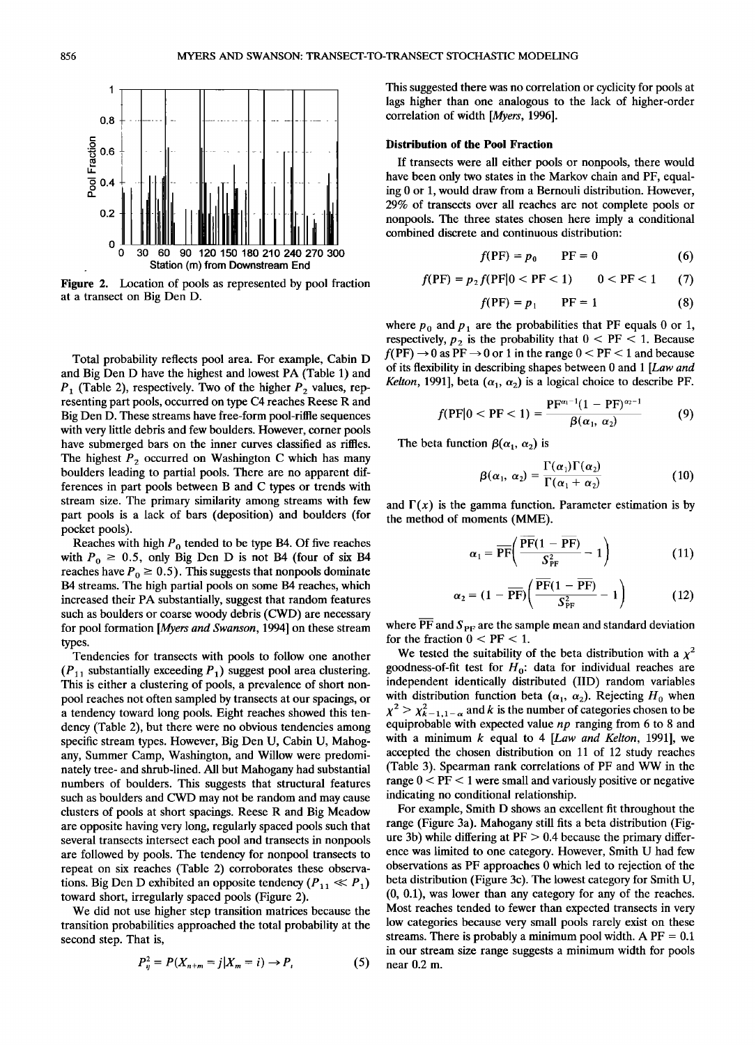

**Figure 2. Location of pools as represented by pool fraction at a transect on Big Den D.** 

**Total probability reflects pool area. For example, Cabin D and Big Den D have the highest and lowest PA (Table 1) and**   $P_1$  (Table 2), respectively. Two of the higher  $P_2$  values, rep**resenting part pools, occurred on type C4 reaches Reese R and Big Den D. These streams have free-form pool-riffle sequences with very little debris and few boulders. However, corner pools have submerged bars on the inner curves classified as riffles.**  The highest  $P_2$  occurred on Washington C which has many **boulders leading to partial pools. There are no apparent differences in part pools between B and C types or trends with stream size. The primary similarity among streams with few part pools is a lack of bars (deposition) and boulders (for pocket pools).** 

Reaches with high  $P_0$  tended to be type B4. Of five reaches with  $P_0 \ge 0.5$ , only Big Den D is not B4 (four of six B4 reaches have  $P_0 \ge 0.5$ ). This suggests that nonpools dominate **B4 streams. The high partial pools on some B4 reaches, which**  increased their PA substantially, suggest that random features **such as boulders or coarse woody debris (CWD) are necessary for pool formation [Myers and Swanson, 1994] on these stream types.** 

**Tendencies for transects with pools to follow one another**   $(P_{11}$  substantially exceeding  $P_1$ ) suggest pool area clustering. **This is either a clustering of pools, a prevalence of short nonpool reaches not often sampled by transects at our spacings, or a tendency toward long pools. Eight reaches showed this tendency (Table 2), but there were no obvious tendencies among specific stream types. However, Big Den U, Cabin U, Mahogany, Summer Camp, Washington, and Willow were predominately tree- and shrub-lined. All but Mahogany had substantial numbers of boulders. This suggests that structural features such as boulders and CWD may not be random and may cause clusters of pools at short spacings. Reese R and Big Meadow are opposite having very long, regularly spaced pools such that several transects intersect each pool and transects in nonpools are followed by pools. The tendency for nonpool transects to repeat on six reaches (Table 2) corroborates these observa**tions. Big Den D exhibited an opposite tendency  $(P_{11} \ll P_1)$ **toward short, irregularly spaced pools (Figure 2).** 

**We did not use higher step transition matrices because the transition probabilities approached the total probability at the second step. That is,** 

$$
P_{ij}^{2} = P(X_{n+m} = j | X_{m} = i) \to P_{i}
$$
 (5)

**This suggested there was no correlation or cyclicity for pools at lags higher than one analogous to the lack of higher-order correlation of width [Myers, 1996].** 

#### **Distribution of the Pool Fraction**

If transects were all either pools or nonpools, there would **have been only two states in the Markov chain and PF, equaling 0 or 1, would draw from a Bernouli distribution. However, 29% of transects over all reaches are not complete pools or nonpools. The three states chosen here imply a conditional combined discrete and continuous distribution:** 

$$
f(\mathbf{P}F) = p_0 \qquad \mathbf{P}F = 0 \tag{6}
$$

$$
f(\text{PF}) = p_2 f(\text{PF}|0 < \text{PF} < 1) \qquad 0 < \text{PF} < 1 \tag{7}
$$

$$
f(\text{PF}) = p_1 \qquad \text{PF} = 1 \tag{8}
$$

where  $p_0$  and  $p_1$  are the probabilities that PF equals 0 or 1, respectively,  $p_2$  is the probability that  $0 < PF < 1$ . Because  $f(\text{PF}) \rightarrow 0$  as  $\text{PF} \rightarrow 0$  or 1 in the range  $0 < \text{PF} < 1$  and because **of its flexibility in describing shapes between 0 and 1 [Law and**  *Kelton*, 1991], beta  $(\alpha_1, \alpha_2)$  is a logical choice to describe PF.

$$
f(\mathrm{PF}|0<\mathrm{PF}<1)=\frac{\mathrm{PF}^{\alpha_1-1}(1-\mathrm{PF})^{\alpha_2-1}}{\beta(\alpha_1,\,\alpha_2)}
$$
(9)

The beta function  $\beta(\alpha_1, \alpha_2)$  is

$$
\beta(\alpha_1, \alpha_2) = \frac{\Gamma(\alpha_1)\Gamma(\alpha_2)}{\Gamma(\alpha_1 + \alpha_2)}\tag{10}
$$

and  $\Gamma(x)$  is the gamma function. Parameter estimation is by **the method of moments (MME).** 

$$
\alpha_1 = \overline{\text{PF}} \bigg( \frac{\overline{\text{PF}} (1 - \overline{\text{PF}})}{S_{\text{PF}}^2} - 1 \bigg) \tag{11}
$$

$$
\alpha_2 = (1 - \overline{\text{PF}}) \left( \frac{\overline{\text{PF}} (1 - \overline{\text{PF}})}{S_{\text{PF}}^2} - 1 \right)
$$
(12)

where  $\overline{PF}$  and  $S_{PF}$  are the sample mean and standard deviation for the fraction  $0 < PF < 1$ .

We tested the suitability of the beta distribution with a  $\chi^2$ goodness-of-fit test for  $H_0$ : data for individual reaches are **independent identically distributed (IID) random variables**  with distribution function beta  $(\alpha_1, \alpha_2)$ . Rejecting  $H_0$  when  $x^2 > x_{k-1,1-\alpha}^2$  and k is the number of categories chosen to be **equiprobable with expected value np ranging from 6 to 8 and with a minimum k equal to 4 [Law and Kelton, 1991], we accepted the chosen distribution on 11 of 12 study reaches (Table 3). Spearman rank correlations of PF and WW in the range 0 < PF < 1 were small and variously positive or negative indicating no conditional relationship.** 

**For example, Smith D shows an excellent fit throughout the range (Figure 3a). Mahogany still fits a beta distribution (Figure 3b) while differing at PF > 0.4 because the primary difference was limited to one category. However, Smith U had few observations as PF approaches 0 which led to rejection of the beta distribution (Figure 3c). The lowest category for Smith U, (0, 0.1), was lower than any category for any of the reaches. Most reaches tended to fewer than expected transects in very low categories because very small pools rarely exist on these**  streams. There is probably a minimum pool width. A  $PF = 0.1$ **in our stream size range suggests a minimum width for pools near 0.2 m.**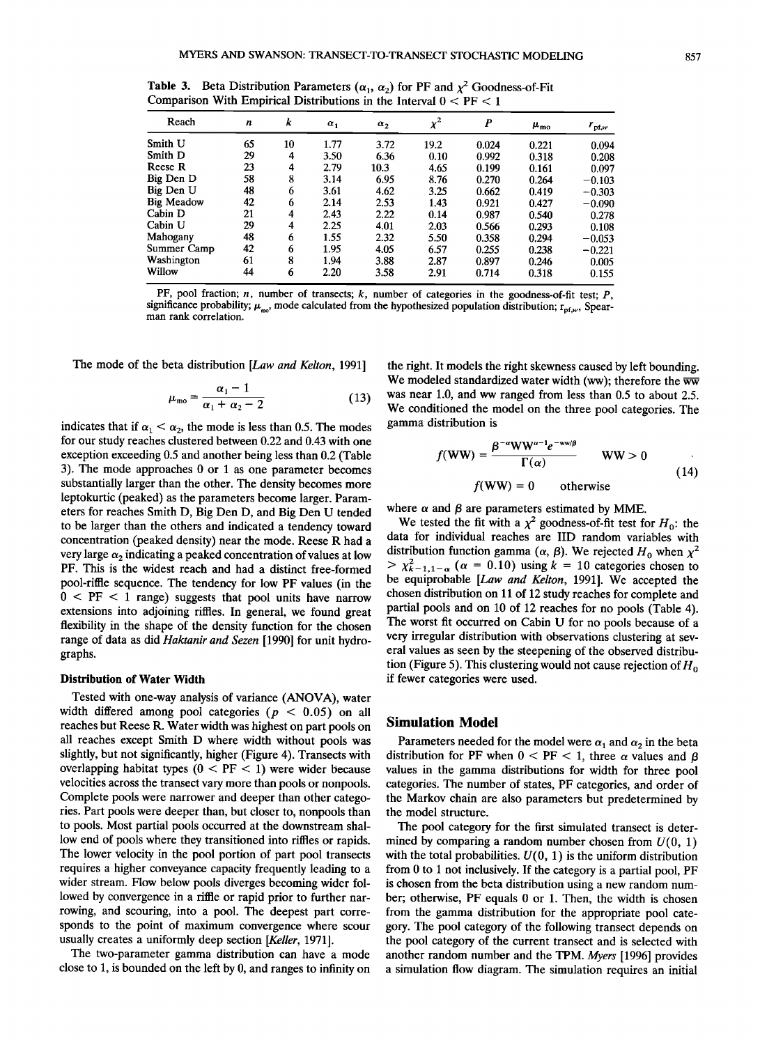**Table 3.** Beta Distribution Parameters  $(\alpha_1, \alpha_2)$  for PF and  $\chi^2$  Goodness-of-Fit **Comparison With Empirical Distributions in the Interval 0 < PF < 1** 

| Reach             | n  | k  | $\alpha_1$ | $\alpha_2$ | $\chi^2$ | $\boldsymbol{P}$ | $\mu_{\rm mo}$ | $r_{\text{pf},w}$ |
|-------------------|----|----|------------|------------|----------|------------------|----------------|-------------------|
| Smith U           | 65 | 10 | 1.77       | 3.72       | 19.2     | 0.024            | 0.221          | 0.094             |
| Smith D           | 29 | 4  | 3.50       | 6.36       | 0.10     | 0.992            | 0.318          | 0.208             |
| Reese R           | 23 | 4  | 2.79       | 10.3       | 4.65     | 0.199            | 0.161          | 0.097             |
| Big Den D         | 58 | 8  | 3.14       | 6.95       | 8.76     | 0.270            | 0.264          | $-0.103$          |
| Big Den U         | 48 | 6  | 3.61       | 4.62       | 3.25     | 0.662            | 0.419          | $-0.303$          |
| <b>Big Meadow</b> | 42 | 6  | 2.14       | 2.53       | 1.43     | 0.921            | 0.427          | $-0.090$          |
| Cabin D           | 21 | 4  | 2.43       | 2.22       | 0.14     | 0.987            | 0.540          | 0.278             |
| Cabin U           | 29 | 4  | 2.25       | 4.01       | 2.03     | 0.566            | 0.293          | 0.108             |
| Mahogany          | 48 | 6  | 1.55       | 2.32       | 5.50     | 0.358            | 0.294          | $-0.053$          |
| Summer Camp       | 42 | 6  | 1.95       | 4.05       | 6.57     | 0.255            | 0.238          | $-0.221$          |
| Washington        | 61 | 8  | 1.94       | 3.88       | 2.87     | 0.897            | 0.246          | 0.005             |
| Willow            | 44 | 6  | 2.20       | 3.58       | 2.91     | 0.714            | 0.318          | 0.155             |

**PF, pool fraction; n, number of transects; k, number of categories in the goodness-of-fit test; P,**  significance probability;  $\mu_{\text{no}}$ , mode calculated from the hypothesized population distribution;  $r_{\text{pf},w}$ , Spear**man rank correlation.** 

**The mode of the beta distribution [Law and Kelton, 1991]** 

$$
\mu_{\rm mo} = \frac{\alpha_1 - 1}{\alpha_1 + \alpha_2 - 2} \tag{13}
$$

indicates that if  $\alpha_1 < \alpha_2$ , the mode is less than 0.5. The modes **for our study reaches clustered between 0.22 and 0.43 with one exception exceeding 0.5 and another being less than 0.2 (Table 3). The mode approaches 0 or 1 as one parameter becomes**  substantially larger than the other. The density becomes more **leptokurtic (peaked) as the parameters become larger. Parameters for reaches Smith D, Big Den D, and Big Den U tended to be larger than the others and indicated a tendency toward concentration (peaked density) near the mode. Reese R had a very large**  $\alpha_2$  **indicating a peaked concentration of values at low PF. This is the widest reach and had a distinct free-formed pool-riffle sequence. The tendency for low PF values (in the 0 < PF < 1 range) suggests that pool units have narrow extensions into adjoining riffles. In general, we found great flexibility in the shape of the density function for the chosen range of data as did Haktanir and Sezen [1990] for unit hydrographs.** 

#### **Distribution of Water Width**

**Tested with one-way analysis of variance (ANOVA), water**  width differed among pool categories ( $p < 0.05$ ) on all **reaches but Reese R. Water width was highest on part pools on all reaches except Smith D where width without pools was slightly, but not significantly, higher (Figure 4). Transects with overlapping habitat types (0 < PF < 1) were wider because velocities across the transect vary more than pools or nonpools. Complete pools were narrower and deeper than other categories. Part pools were deeper than, but closer to, nonpools than to pools. Most partial pools occurred at the downstream shallow end of pools where they transitioned into riffles or rapids. The lower velocity in the pool portion of part pool transects requires a higher conveyance capacity frequently leading to a wider stream. Flow below pools diverges becoming wider fol**lowed by convergence in a riffle or rapid prior to further nar**rowing, and scouring, into a pool. The deepest part corresponds to the point of maximum convergence where scour usually creates a uniformly deep section [Keller, 1971].** 

**The two-parameter gamma distribution can have a mode close to 1, is bounded on the left by 0, and ranges to infinity on** 

**the right. It models the right skewness caused by left bounding.**  We modeled standardized water width (ww); therefore the ww **was near 1.0, and ww ranged from less than 0.5 to about 2.5. We conditioned the model on the three pool categories. The gamma distribution is** 

$$
f(\mathbf{WW}) = \frac{\beta^{-\alpha} \mathbf{WW}^{\alpha-1} e^{-\mathbf{WW}/\beta}}{\Gamma(\alpha)} \qquad \mathbf{WW} > 0 \tag{14}
$$

 $f(\mathbf{WW}) = 0$  otherwise

where  $\alpha$  and  $\beta$  are parameters estimated by MME.

We tested the fit with a  $\chi^2$  goodness-of-fit test for  $H_0$ : the **data for individual reaches are IID random variables with**  distribution function gamma ( $\alpha$ ,  $\beta$ ). We rejected H<sub>0</sub> when  $\chi^2$  $> \chi^2_{k-1,1-\alpha}$  ( $\alpha = 0.10$ ) using  $k = 10$  categories chosen to **be equiprobable [Law and Kelton, 1991]. We accepted the chosen distribution on 11 of 12 study reaches for complete and partial pools and on 10 of 12 reaches for no pools (Table 4). The worst fit occurred on Cabin U for no pools because of a very irregular distribution with observations clustering at several values as seen by the steepening of the observed distribu**tion (Figure 5). This clustering would not cause rejection of  $H_0$ **if fewer categories were used.** 

## **Simulation Model**

Parameters needed for the model were  $\alpha_1$  and  $\alpha_2$  in the beta distribution for PF when  $0 <$  PF  $<$  1, three  $\alpha$  values and  $\beta$ **values in the gamma distributions for width for three pool categories. The number of states, PF categories, and order of the Markov chain are also parameters but predetermined by the model structure.** 

**The pool category for the first simulated transect is deter**mined by comparing a random number chosen from  $U(0, 1)$ with the total probabilities.  $U(0, 1)$  is the uniform distribution **from 0 to 1 not inclusively. If the category is a partial pool, PF is chosen from the beta distribution using a new random number; otherwise, PF equals 0 or 1. Then, the width is chosen from the gamma distribution for the appropriate pool category. The pool category of the following transect depends on the pool category of the current transect and is selected with**  another random number and the TPM. Myers [1996] provides **a simulation flow diagram. The simulation requires an initial**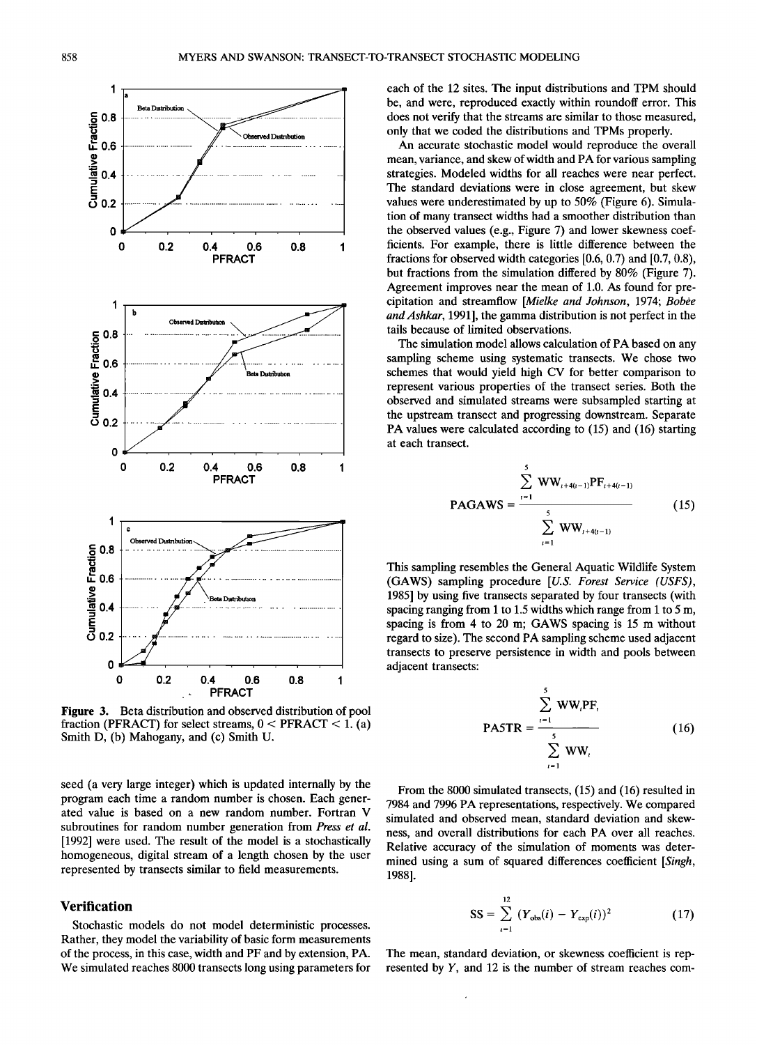

**Figure 3. Beta distribution and observed distribution of pool fraction (PFRACT) for select streams, 0 < PFRACT < 1. (a) Smith D, (b) Mahogany, and (c) Smith U.** 

**seed (a very large integer) which is updated internally by the program each time a random number is chosen. Each generated value is based on a new random number. Fortran V subroutines for random number generation from Press et al. [1992] were used. The result of the model is a stochastically homogeneous, digital stream of a length chosen by the user represented by transects similar to field measurements.** 

## **Verification**

**Stochastic models do not model deterministic processes. Rather, they model the variability of basic form measurements of the process, in this case, width and PF and by extension, PA. We simulated reaches 8000 transects long using parameters for** 

**each of the 12 sites. The input distributions and TPM should be, and were, reproduced exactly within roundoff error. This does not verify that the streams are similar to those measured, only that we coded the distributions and TPMs properly.** 

**An accurate stochastic model would reproduce the overall mean, variance, and skew of width and PA for various sampling strategies. Modeled widths for all reaches were near perfect. The standard deviations were in close agreement, but skew values were underestimated by up to 50% (Figure 6). Simulation of many transect widths had a smoother distribution than the observed values (e.g., Figure 7) and lower skewness coefficients. For example, there is little difference between the fractions for observed width categories [0.6, 0.7) and [0.7, 0.8), but fractions from the simulation differed by 80% (Figure 7). Agreement improves near the mean of 1.0. As found for pre**cipitation and streamflow [Mielke and Johnson, 1974; Bobee and Ashkar, 1991], the gamma distribution is not perfect in the **tails because of limited observations.** 

**The simulation model allows calculation of PA based on any sampling scheme using systematic transects. We chose two schemes that would yield high CV for better comparison to represent various properties of the transect series. Both the observed and simulated streams were subsampled starting at the upstream transect and progressing downstream. Separate PA values were calculated according to (15) and (16) starting at each transect.** 

$$
PAGAWS = \frac{\sum_{i=1}^{5} WW_{i+4(i-1)}PF_{i+4(i-1)}}{\sum_{i=1}^{5} WW_{i+4(i-1)}}
$$
(15)

**This sampling resembles the General Aquatic Wildlife System (GAWS) sampling procedure [U.S. Forest Service (USFS), 1985] by using five transects separated by four transects (with spacing ranging from 1 to 1.5 widths which range from 1 to 5 m, spacing is from 4 to 20 m; GAWS spacing is 15 m without regard to size). The second PA sampling scheme used adjacent transects to preserve persistence in width and pools between adjacent transects:** 

$$
PASTR = \frac{\sum_{i=1}^{S} WW_i PF_i}{\sum_{i=1}^{S} WW_i}
$$
 (16)

**From the 8000 simulated transects, (15) and (16) resulted in 7984 and 7996 PA representations, respectively. We compared simulated and observed mean, standard deviation and skewness, and overall distributions for each PA over all reaches. Relative accuracy of the simulation of moments was determined using a sum of squared differences coefficient [Singh, 1988].** 

$$
SS = \sum_{i=1}^{12} (Y_{\text{obs}}(i) - Y_{\text{exp}}(i))^2
$$
 (17)

**The mean, standard deviation, or skewness coefficient is represented by Y, and 12 is the number of stream reaches com-**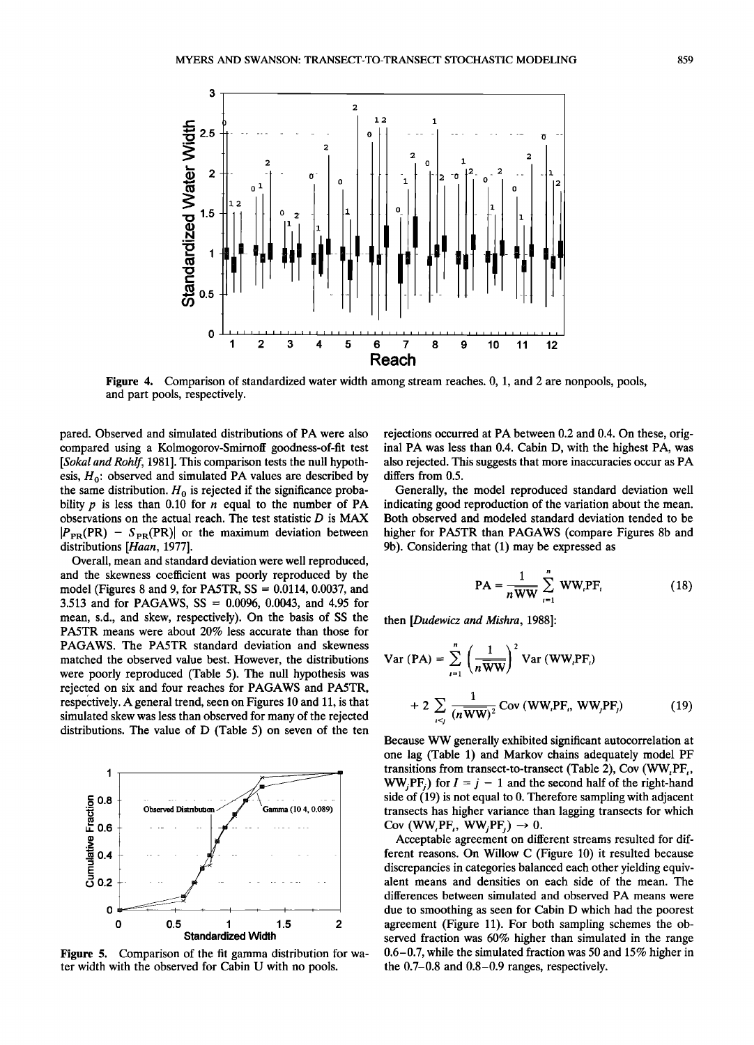

**Figure 4.** Comparison of standardized water width among stream reaches. 0, 1, and 2 are nonpools, pools, **and part pools, respectively.** 

**pared. Observed and simulated distributions of PA were also compared using a Kolmogorov-Smirnoff goodness-of-fit test [Sokal and Rohlf, 1981]. This comparison tests the null hypothesis, Ho: observed and simulated PA values are described by**  the same distribution.  $H_0$  is rejected if the significance probability  $p$  is less than  $0.10$  for  $n$  equal to the number of PA **observations on the actual reach. The test statistic D is MAX**   $|P_{PR}(PR) - S_{PR}(PR)|$  or the maximum deviation between **distributions [Haan, 1977].** 

**Overall, mean and standard deviation were well reproduced, and the skewness coefficient was poorly reproduced by the model (Figures 8 and 9, for PA5TR, SS = 0.0114, 0.0037, and 3.513 and for PAGAWS, SS = 0.0096, 0.0043, and 4.95 for mean, s.d., and skew, respectively). On the basis of SS the PA5TR means were about 20% less accurate than those for PAGAWS. The PA5TR standard deviation and skewness matched the observed value best. However, the distributions were poorly reproduced (Table 5). The null hypothesis was rejected on six and four reaches for PAGAWS and PA5TR, respectively. A general trend, seen on Figures 10 and 11, is that simulated skew was less than observed for many of the rejected distributions. The value of D (Table 5) on seven of the ten** 



**Figure 5. Comparison of the fit gamma distribution for water width with the observed for Cabin U with no pools.** 

**rejections occurred at PA between 0.2 and 0.4. On these, original PA was less than 0.4. Cabin D, with the highest PA, was also rejected. This suggests that more inaccuracies occur as PA differs from 0.5.** 

**Generally, the model reproduced standard deviation well indicating good reproduction of the variation about the mean. Both observed and modeled standard deviation tended to be higher for PA5TR than PAGAWS (compare Figures 8b and 9b). Considering that (1) may be expressed as** 

$$
PA = \frac{1}{n\overline{WW}}\sum_{i=1}^{n}WW_iPF_i
$$
 (18)

**then [Dudewicz and Mishra, 1988]'** 

Var (PA) = 
$$
\sum_{i=1}^{n} \left(\frac{1}{n\overline{WW}}\right)^2 \text{Var (WW, PF_i)}
$$
  
+ 
$$
2 \sum_{i \le j} \frac{1}{(n\overline{WW})^2} \text{Cov (WW, PF_i, WW, PF_j)}
$$
(19)

**Because WW generally exhibited significant autocorrelation at one lag (Table 1) and Markov chains adequately model PF**  transitions from transect-to-transect (Table 2), Cov (WW,PF<sub>1</sub>,  $WW_iPF_i$ ) for  $I = j - 1$  and the second half of the right-hand **side of (19) is not equal to 0. Therefore sampling with adjacent transects has higher variance than lagging transects for which**   $Cov$  (WW, PF<sub>t</sub>, WW<sub>i</sub>PF<sub>t</sub>)  $\rightarrow$  0.

**Acceptable agreement on different streams resulted for different reasons. On Willow C (Figure 10) it resulted because discrepancies in categories balanced each other yielding equivalent means and densities on each side of the mean. The differences between simulated and observed PA means were due to smoothing as seen for Cabin D which had the poorest agreement (Figure 11). For both sampling schemes the observed fraction was 60% higher than simulated in the range 0.6-0.7, while the simulated fraction was 50 and 15% higher in the 0.7-0.8 and 0.8-0.9 ranges, respectively.**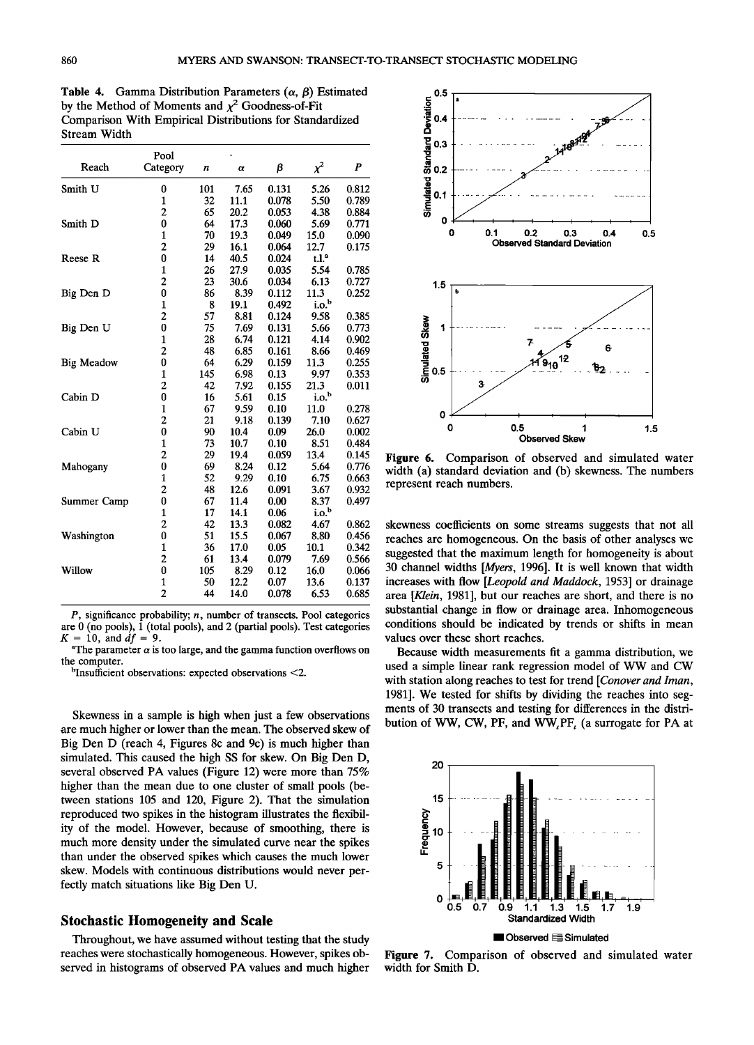**Table 4.** Gamma Distribution Parameters  $(\alpha, \beta)$  Estimated by the Method of Moments and  $\chi^2$  Goodness-of-Fit Comparison With Empirical Distributions for Standardized **Stream Width** 

|                   | Pool                    |     |          |       |                     |                  |
|-------------------|-------------------------|-----|----------|-------|---------------------|------------------|
| Reach             | Category                | n   | $\alpha$ | β     | $\chi^2$            | $\boldsymbol{P}$ |
| Smith U           | 0                       | 101 | 7.65     | 0.131 | 5.26                | 0.812            |
|                   | 1                       | 32  | 11.1     | 0.078 | 5.50                | 0.789            |
|                   | $\overline{\mathbf{c}}$ | 65  | 20.2     | 0.053 | 4.38                | 0.884            |
| Smith D           | $\bf{0}$                | 64  | 17.3     | 0.060 | 5.69                | 0.771            |
|                   | 1                       | 70  | 19.3     | 0.049 | 15.0                | 0.090            |
|                   | $\overline{2}$          | 29  | 16.1     | 0.064 | 12.7                | 0.175            |
| <b>Reese R</b>    | 0                       | 14  | 40.5     | 0.024 | $t.l.$ <sup>a</sup> |                  |
|                   | $\mathbf{1}$            | 26  | 27.9     | 0.035 | 5.54                | 0.785            |
|                   | $\overline{c}$          | 23  | 30.6     | 0.034 | 6.13                | 0.727            |
| Big Den D         | 0                       | 86  | 8.39     | 0.112 | 11.3                | 0.252            |
|                   | $\mathbf{1}$            | 8   | 19.1     | 0.492 | 1.0 <sup>b</sup>    |                  |
|                   | 2                       | 57  | 8.81     | 0.124 | 9.58                | 0.385            |
| Big Den U         | 0                       | 75  | 7.69     | 0.131 | 5.66                | 0.773            |
|                   | $\mathbf{1}$            | 28  | 6.74     | 0.121 | 4.14                | 0.902            |
|                   | 2                       | 48  | 6.85     | 0.161 | 8.66                | 0.469            |
| <b>Big Meadow</b> | 0                       | 64  | 6.29     | 0.159 | 11.3                | 0.255            |
|                   | $\mathbf{1}$            | 145 | 6.98     | 0.13  | 9.97                | 0.353            |
|                   | $\overline{\mathbf{c}}$ | 42  | 7.92     | 0.155 | 21.3                | 0.011            |
| Cabin D           | 0                       | 16  | 5.61     | 0.15  | i.o. <sup>b</sup>   |                  |
|                   | $\mathbf{1}$            | 67  | 9.59     | 0.10  | 11.0                | 0.278            |
|                   | 2                       | 21  | 9.18     | 0.139 | 7.10                | 0.627            |
| Cabin U           | 0                       | 90  | 10.4     | 0.09  | 26.0                | 0.002            |
|                   | $\mathbf{1}$            | 73  | 10.7     | 0.10  | 8.51                | 0.484            |
|                   | $\overline{\mathbf{c}}$ | 29  | 19.4     | 0.059 | 13.4                | 0.145            |
| Mahogany          | 0                       | 69  | 8.24     | 0.12  | 5.64                | 0.776            |
|                   | $\mathbf{1}$            | 52  | 9.29     | 0.10  | 6.75                | 0.663            |
|                   | $\overline{c}$          | 48  | 12.6     | 0.091 | 3.67                | 0.932            |
| Summer Camp       | 0                       | 67  | 11.4     | 0.00  | 8.37                | 0.497            |
|                   | 1                       | 17  | 14.1     | 0.06  | i.o. <sup>b</sup>   |                  |
|                   | 2                       | 42  | 13.3     | 0.082 | 4.67                | 0.862            |
| Washington        | 0                       | 51  | 15.5     | 0.067 | 8.80                | 0.456            |
|                   | $\mathbf{1}$            | 36  | 17.0     | 0.05  | 10.1                | 0.342            |
|                   | 2                       | 61  | 13.4     | 0.079 | 7.69                | 0.566            |
| Willow            | 0                       | 105 | 8.29     | 0.12  | 16.0                | 0.066            |
|                   | 1                       | 50  | 12.2     | 0.07  | 13.6                | 0.137            |
|                   | $\overline{2}$          | 44  | 14.0     | 0.078 | 6.53                | 0.685            |

**P, significance probability; n, number of transects. Pool categories**  are 0 (no pools), 1 (total pools), and 2 (partial pools). Test categories  $K = 10$ , and  $df = 9$ .  $= 10$ , and  $df = 9$ .

<sup>a</sup>The parameter  $\alpha$  is too large, and the gamma function overflows on **the computer.** 

**binsufficient observations: expected observations <2.** 

**Skewness in a sample is high when just a few observations are much higher or lower than the mean. The observed skew of Big Den D (reach 4, Figures 8c and 9c) is much higher than simulated. This caused the high SS for skew. On Big Den D, several observed PA values (Figure 12) were more than 75% higher than the mean due to one cluster of small pools (between stations 105 and 120, Figure 2). That the simulation reproduced two spikes in the histogram illustrates the flexibility of the model. However, because of smoothing, there is much more density under the simulated curve near the spikes than under the observed spikes which causes the much lower skew. Models with continuous distributions would never perfectly match situations like Big Den U.** 

# **Stochastic Homogeneity and Scale**

**Throughout, we have assumed without testing that the study reaches were stochastically homogeneous. However, spikes observed in histograms of observed PA values and much higher** 



**Figure 6. Comparison of observed and simulated water width (a) standard deviation and (b) skewness. The numbers represent reach numbers.** 

**skewness coefficients on some streams suggests that not all reaches are homogeneous. On the basis of other analyses we suggested that the maximum length for homogeneity is about 30 channel widths [Myers, 1996]. It is well known that width increases with flow [Leopold and Maddock, 1953] or drainage area [Klein, 1981], but our reaches are short, and there is no substantial change in flow or drainage area. Inhomogeneous conditions should be indicated by trends or shifts in mean values over these short reaches.** 

**Because width measurements fit a gamma distribution, we used a simple linear rank regression model of WW and CW**  with station along reaches to test for trend [Conover and Iman, **1981]. We tested for shifts by dividing the reaches into segments of 30 transects and testing for differences in the distri**bution of WW, CW, PF, and WW, PF, (a surrogate for PA at



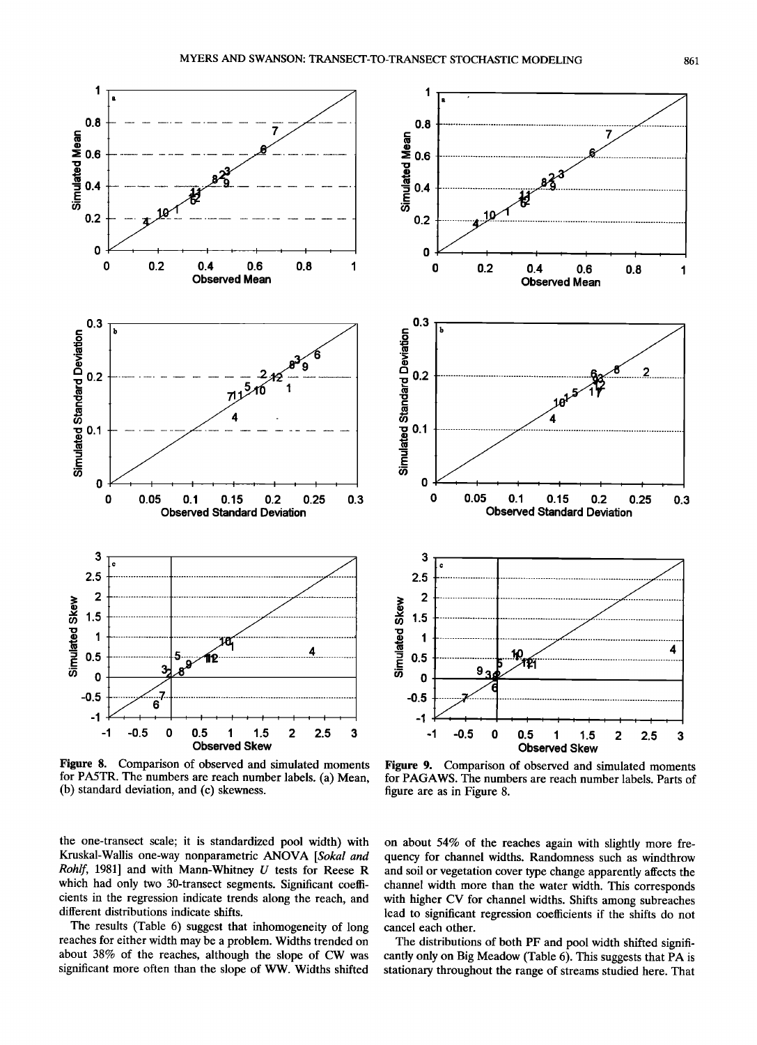

**Figure 8. Comparison of observed and simulated moments for PA5TR. The numbers are reach number labels. (a) Mean, (b) standard deviation, and (c) skewness.** 

**the one-transect scale; it is standardized pool width) with Kruskal-Wallis one-way nonparametric ANOVA [Sokal and Rohlf, 1981] and with Mann-Whitney U tests for Reese R which had only two 30-transect segments. Significant coefficients in the regression indicate trends along the reach, and different distributions indicate shifts.** 

**The results (Table 6) suggest that inhomogeneity of long reaches for either width may be a problem. Widths trended on about 38% of the reaches, although the slope of CW was significant more often than the slope of WW. Widths shifted** 



**Figure 9. Comparison of observed and simulated moments for PAGAWS. The numbers are reach number labels. Parts of figure are as in Figure 8.** 

**on about 54% of the reaches again with slightly more frequency for channel widths. Randomness such as windthrow and soil or vegetation cover type change apparently affects the channel width more than the water width. This corresponds with higher CV for channel widths. Shifts among subreaches lead to significant regression coefficients if the shifts do not cancel each other.** 

**The distributions of both PF and pool width shifted signifi**cantly only on Big Meadow (Table 6). This suggests that PA is stationary throughout the range of streams studied here. That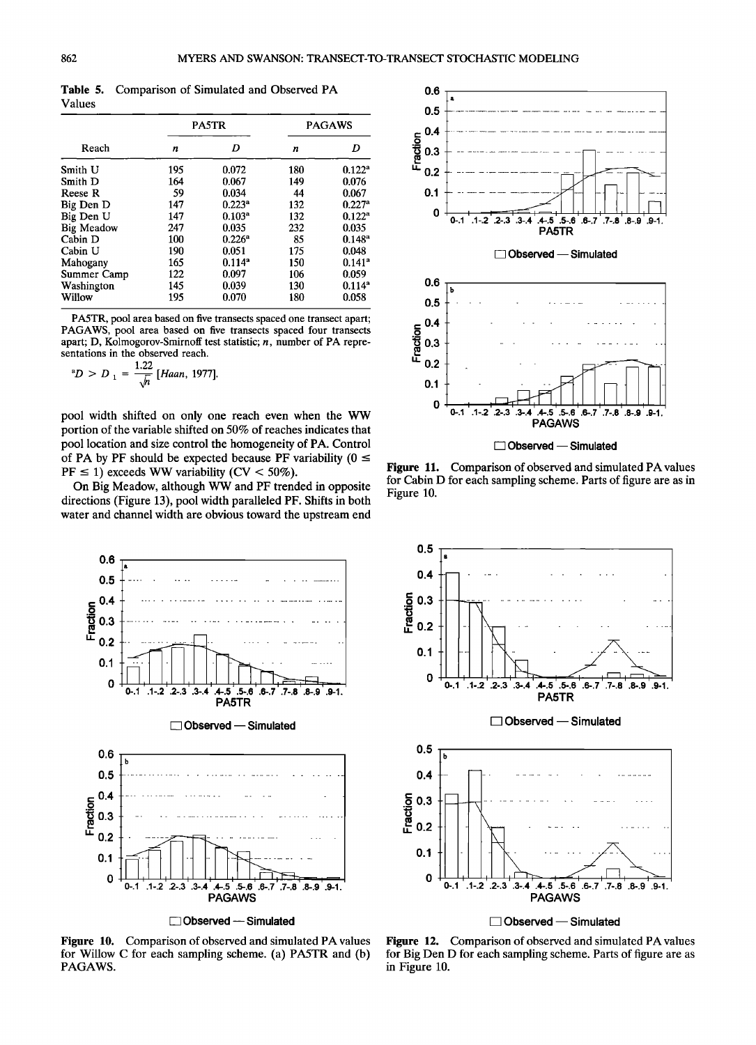**Table 5. Comparison of Simulated and Observed PA Values** 

|                   |     | <b>PA5TR</b>       | <b>PAGAWS</b> |                      |  |
|-------------------|-----|--------------------|---------------|----------------------|--|
| Reach             | n   | D                  | n             | D                    |  |
| Smith U           | 195 | 0.072              | 180           | $0.122^a$            |  |
| Smith D           | 164 | 0.067              | 149           | 0.076                |  |
| Reese R           | 59  | 0.034              | 44            | 0.067                |  |
| Big Den D         | 147 | 0.223 <sup>a</sup> | 132           | $0.227^{\rm a}$      |  |
| Big Den U         | 147 | 0.103 <sup>a</sup> | 132           | $0.122^a$            |  |
| <b>Big Meadow</b> | 247 | 0.035              | 232           | 0.035                |  |
| Cabin D           | 100 | $0.226^a$          | 85            | $0.148^{\rm a}$      |  |
| Cabin U           | 190 | 0.051              | 175           | 0.048                |  |
| Mahogany          | 165 | $0.114^{a}$        | 150           | $0.141$ <sup>a</sup> |  |
| Summer Camp       | 122 | 0.097              | 106           | 0.059                |  |
| Washington        | 145 | 0.039              | 130           | $0.114^{a}$          |  |
| Willow            | 195 | 0.070              | 180           | 0.058                |  |

**PA5TR, pool area based on five transects spaced one transect apart; PAGAWS, pool area based on five transects spaced four transects apart; D, Kolmogorov-Smirnoff test statistic; n, number of PA representations in the observed reach.** 

<sup>a</sup>
$$
D > D_1 = \frac{1.22}{\sqrt{n}}
$$
 [Haan, 1977].

**pool width shifted on only one reach even when the WW portion of the variable shifted on 50% of reaches indicates that pool location and size control the homogeneity of PA. Control**  of PA by PF should be expected because PF variability  $(0 \le$  $PF \le 1$ ) exceeds WW variability ( $CV < 50\%$ ).

**On Big Meadow, although WW and PF trended in opposite directions (Figure 13), pool width paralleled PF. Shifts in both water and channel width are obvious toward the upstream end** 



**Figure 10. Comparison of observed and simulated PA values for Willow C for each sampling scheme. (a) PA5TR and (b) PAGAWS.** 



**Figure 11. Comparison of observed and simulated PA values for Cabin D for each sampling scheme. Parts of figure are as in Figure 10.** 



**Figure 12. Comparison of observed and simulated PA values for Big Den D for each sampling scheme. Parts of figure are as in Figure 10.**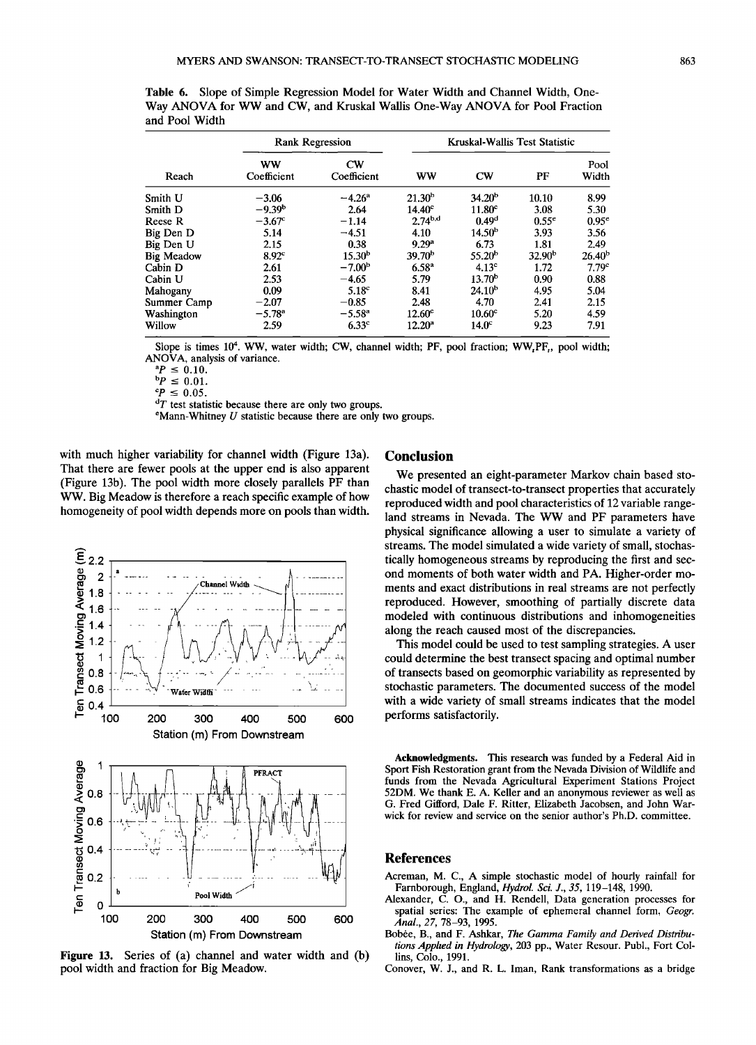|                   |                          | <b>Rank Regression</b> | Kruskal-Wallis Test Statistic |                        |                    |                    |  |
|-------------------|--------------------------|------------------------|-------------------------------|------------------------|--------------------|--------------------|--|
| Reach             | <b>WW</b><br>Coefficient | $cw$<br>Coefficient    | <b>WW</b>                     | $\mathbf{C}\mathbf{W}$ | PF                 | Pool<br>Width      |  |
| Smith U           | $-3.06$                  | $-4.26^{\rm a}$        | 21.30 <sup>b</sup>            | 34.20 <sup>b</sup>     | 10.10              | 8.99               |  |
| Smith D           | $-9.39b$                 | 2.64                   | 14.40 <sup>c</sup>            | 11.80 <sup>c</sup>     | 3.08               | 5.30               |  |
| Reese R           | $-3.67$ <sup>c</sup>     | $-1.14$                | $2.74^{b,d}$                  | 0.49 <sup>d</sup>      | 0.55 <sup>e</sup>  | $0.95^e$           |  |
| Big Den D         | 5.14                     | $-4.51$                | 4.10                          | 14.50 <sup>b</sup>     | 3.93               | 3.56               |  |
| Big Den U         | 2.15                     | 0.38                   | 9.29 <sup>a</sup>             | 6.73                   | 1.81               | 2.49               |  |
| <b>Big Meadow</b> | 8.92 <sup>c</sup>        | 15.30 <sup>b</sup>     | 39.70 <sup>b</sup>            | 55.20 <sup>b</sup>     | 32.90 <sup>b</sup> | 26.40 <sup>b</sup> |  |
| Cabin D           | 2.61                     | $-7.00b$               | $6.58^{a}$                    | 4.13 <sup>c</sup>      | 1.72               | 7.79 <sup>c</sup>  |  |
| Cabin U           | 2.53                     | $-4.65$                | 5.79                          | 13.70 <sup>b</sup>     | 0.90               | 0.88               |  |
| Mahogany          | 0.09                     | 5.18 <sup>c</sup>      | 8.41                          | $24.10^{b}$            | 4.95               | 5.04               |  |
| Summer Camp       | $-2.07$                  | $-0.85$                | 2.48                          | 4.70                   | 2.41               | 2.15               |  |
| Washington        | $-5.78$ <sup>a</sup>     | $-5.58^{a}$            | 12.60 <sup>c</sup>            | 10.60 <sup>c</sup>     | 5.20               | 4.59               |  |
| Willow            | 2.59                     | 6.33 <sup>c</sup>      | $12.20^a$                     | 14.0 <sup>c</sup>      | 9.23               | 7.91               |  |

**Table 6. Slope of Simple Regression Model for Water Width and Channel Width, One-Way ANOVA for WW and CW, and Kruskal Wallis One-Way ANOVA for Pool Fraction and Pool Width** 

Slope is times 10<sup>4</sup>. WW, water width; CW, channel width; PF, pool fraction; WW<sub>, PF</sub>, pool width; **ANOVA, analysis of variance.** 

 $^{\circ}P \leq 0.10$ .

 $bP \le 0.01$ .

 $^{\circ}P \leq 0.05$ .

 ${}^{d}T$  test statistic because there are only two groups.

 $e$ Mann-Whitney  $U$  statistic because there are only two groups.

**with much higher variability for channel width (Figure 13a). That there are fewer pools at the upper end is also apparent (Figure 13b). The pool width more closely parallels PF than WW. Big Meadow is therefore a reach specific example of how homogeneity of pool width depends more on pools than width.** 



**Figure 13. Series of (a) channel and water width and (b) pool width and fraction for Big Meadow.** 

## **Conclusion**

**We presented an eight-parameter Markov chain based stochastic model of transect-to-transect properties that accurately reproduced width and pool characteristics of 12 variable rangeland streams in Nevada. The WW and PF parameters have physical significance allowing a user to simulate a variety of streams. The model simulated a wide variety of small, stochas**tically homogeneous streams by reproducing the first and sec**ond moments of both water width and PA. Higher-order moments and exact distributions in real streams are not perfectly reproduced. However, smoothing of partially discrete data modeled with continuous distributions and inhomogeneities along the reach caused most of the discrepancies.** 

**This model could be used to test sampling strategies. A user could determine the best transect spacing and optimal number of transects based on geomorphic variability as represented by stochastic parameters. The documented success of the model with a wide variety of small streams indicates that the model performs satisfactorily.** 

**Acknowledgments. This research was funded by a Federal Aid in Sport Fish Restoration grant from the Nevada Division of Wildlife and funds from the Nevada Agricultural Experiment Stations Project 52DM. We thank E. A. Keller and an anonymous reviewer as well as G. Fred Gifford, Dale F. Ritter, Elizabeth Jacobsen, and John Warwick for review and service on the senior author's Ph.D. committee.** 

# **References**

- **Acreman, M. C., A simple stochastic model of hourly rainfall for Farnborough, England, Hydrol. Sci. J., 35, 119-148, 1990.**
- **Alexander, C. O., and H. Rendell, Data generation processes for spatial series: The example of ephemeral channel form, Geogr. Anal., 27, 78-93, 1995.**
- Bobėe, B., and F. Ashkar, The Gamma Family and Derived Distribu**tions Applied in Hydrology, 203 pp., Water Resour. Publ., Fort Collins, Colo., 1991.**
- **Conover, W. J., and R. L. Iman, Rank transformations as a bridge**